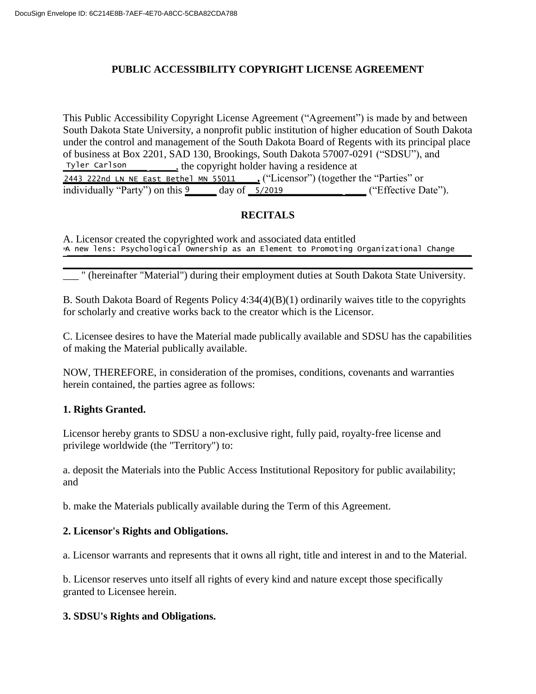# **PUBLIC ACCESSIBILITY COPYRIGHT LICENSE AGREEMENT**

This Public Accessibility Copyright License Agreement ("Agreement") is made by and between South Dakota State University, a nonprofit public institution of higher education of South Dakota under the control and management of the South Dakota Board of Regents with its principal place of business at Box 2201, SAD 130, Brookings, South Dakota 57007-0291 ("SDSU"), and \_\_**\_\_\_\_\_\_\_\_\_\_\_\_\_\_** \_\_\_\_\_, the copyright holder having a residence at 2443 222nd LN NE East Bethel MN 55011 . ("Licensor") (together the "Parties" or individually "Party") on this  $\frac{9}{2}$  day of **\_5/2019** ("Effective Date"). Tyler Carlson

# **RECITALS**

A. Licensor created the copyrighted work and associated data entitled "\_\_\_**\_\_\_\_\_\_\_\_\_\_\_\_\_\_\_\_\_\_\_\_\_\_\_\_\_\_\_\_\_\_\_\_\_\_\_\_\_\_\_\_\_\_\_\_\_\_\_\_\_\_\_\_\_\_\_\_\_\_\_\_\_\_\_\_\_\_\_\_\_\_\_\_\_\_** A new lens: Psychological Ownership as an Element to Promoting Organizational Change

**\_\_\_\_\_\_\_\_\_\_\_\_\_\_\_\_\_\_\_\_\_\_\_\_\_\_\_\_\_\_\_\_\_\_\_\_\_\_\_\_\_\_\_\_\_\_\_\_\_\_\_\_\_\_\_\_\_\_\_\_\_\_\_\_\_\_\_\_\_\_\_\_\_\_\_\_\_\_** \_\_\_ " (hereinafter "Material") during their employment duties at South Dakota State University.

B. South Dakota Board of Regents Policy 4:34(4)(B)(1) ordinarily waives title to the copyrights for scholarly and creative works back to the creator which is the Licensor.

C. Licensee desires to have the Material made publically available and SDSU has the capabilities of making the Material publically available.

NOW, THEREFORE, in consideration of the promises, conditions, covenants and warranties herein contained, the parties agree as follows:

## **1. Rights Granted.**

Licensor hereby grants to SDSU a non-exclusive right, fully paid, royalty-free license and privilege worldwide (the "Territory") to:

a. deposit the Materials into the Public Access Institutional Repository for public availability; and

b. make the Materials publically available during the Term of this Agreement.

## **2. Licensor's Rights and Obligations.**

a. Licensor warrants and represents that it owns all right, title and interest in and to the Material.

b. Licensor reserves unto itself all rights of every kind and nature except those specifically granted to Licensee herein.

## **3. SDSU's Rights and Obligations.**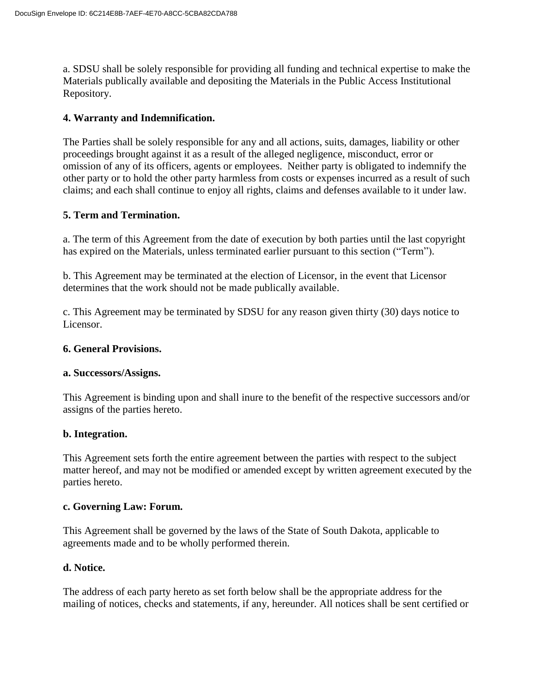a. SDSU shall be solely responsible for providing all funding and technical expertise to make the Materials publically available and depositing the Materials in the Public Access Institutional Repository.

## **4. Warranty and Indemnification.**

The Parties shall be solely responsible for any and all actions, suits, damages, liability or other proceedings brought against it as a result of the alleged negligence, misconduct, error or omission of any of its officers, agents or employees. Neither party is obligated to indemnify the other party or to hold the other party harmless from costs or expenses incurred as a result of such claims; and each shall continue to enjoy all rights, claims and defenses available to it under law.

## **5. Term and Termination.**

a. The term of this Agreement from the date of execution by both parties until the last copyright has expired on the Materials, unless terminated earlier pursuant to this section ("Term").

b. This Agreement may be terminated at the election of Licensor, in the event that Licensor determines that the work should not be made publically available.

c. This Agreement may be terminated by SDSU for any reason given thirty (30) days notice to Licensor.

### **6. General Provisions.**

### **a. Successors/Assigns.**

This Agreement is binding upon and shall inure to the benefit of the respective successors and/or assigns of the parties hereto.

### **b. Integration.**

This Agreement sets forth the entire agreement between the parties with respect to the subject matter hereof, and may not be modified or amended except by written agreement executed by the parties hereto.

### **c. Governing Law: Forum.**

This Agreement shall be governed by the laws of the State of South Dakota, applicable to agreements made and to be wholly performed therein.

### **d. Notice.**

The address of each party hereto as set forth below shall be the appropriate address for the mailing of notices, checks and statements, if any, hereunder. All notices shall be sent certified or